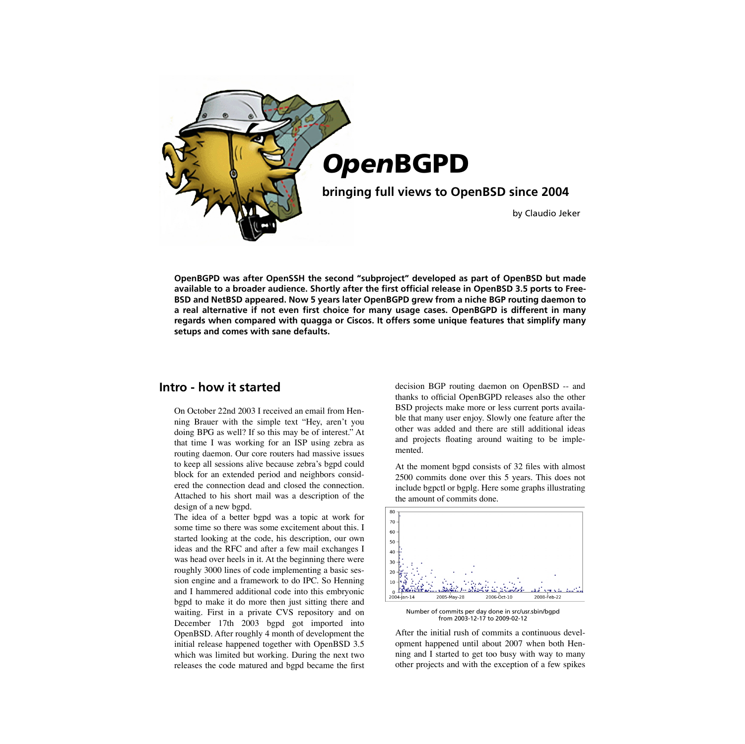

**OpenBGPD was after OpenSSH the second "subproject" developed as part of OpenBSD but made available to a broader audience. Shortly after the first official release in OpenBSD 3.5 ports to Free-BSD and NetBSD appeared. Now 5 years later OpenBGPD grew from a niche BGP routing daemon to a real alternative if not even first choice for many usage cases. OpenBGPD is different in many regards when compared with quagga or Ciscos. It offers some unique features that simplify many setups and comes with sane defaults.**

# **Intro - how it started**

On October 22nd 2003 I received an email from Henning Brauer with the simple text "Hey, aren't you doing BPG as well? If so this may be of interest." At that time I was working for an ISP using zebra as routing daemon. Our core routers had massive issues to keep all sessions alive because zebra's bgpd could block for an extended period and neighbors considered the connection dead and closed the connection. Attached to his short mail was a description of the design of a new bgpd.

The idea of a better bgpd was a topic at work for some time so there was some excitement about this. I started looking at the code, his description, our own ideas and the RFC and after a few mail exchanges I was head over heels in it. At the beginning there were roughly 3000 lines of code implementing a basic session engine and a framework to do IPC. So Henning and I hammered additional code into this embryonic bgpd to make it do more then just sitting there and waiting. First in a private CVS repository and on December 17th 2003 bgpd got imported into OpenBSD. After roughly 4 month of development the initial release happened together with OpenBSD 3.5 which was limited but working. During the next two releases the code matured and bgpd became the first decision BGP routing daemon on OpenBSD -- and thanks to official OpenBGPD releases also the other BSD projects make more or less current ports available that many user enjoy. Slowly one feature after the other was added and there are still additional ideas and projects floating around waiting to be implemented.

At the moment bgpd consists of 32 files with almost 2500 commits done over this 5 years. This does not include bgpctl or bgplg. Here some graphs illustrating the amount of commits done.



Number of commits per day done in src/usr.sbin/bgpd from 2003-12-17 to 2009-02-12

After the initial rush of commits a continuous development happened until about 2007 when both Henning and I started to get too busy with way to many other projects and with the exception of a few spikes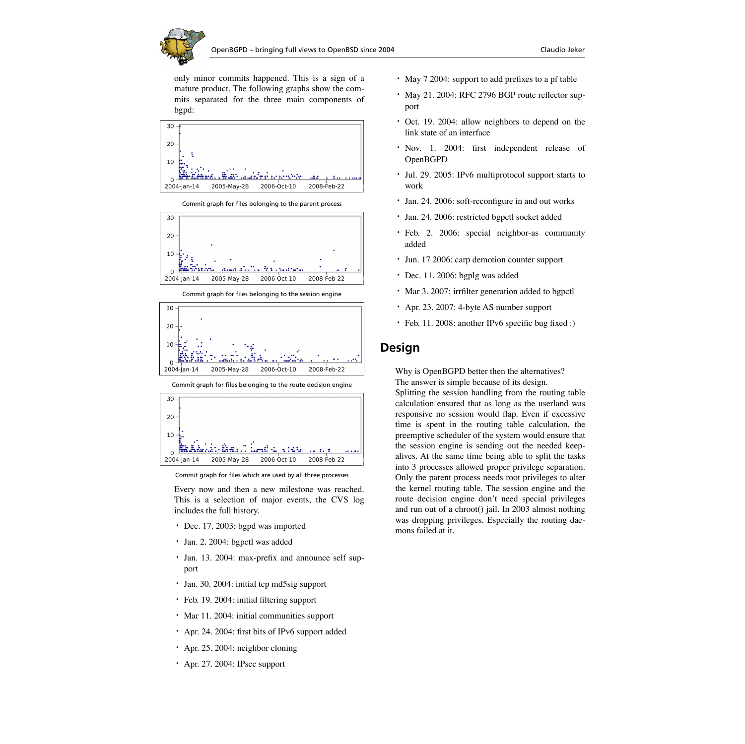only minor commits happened. This is a sign of a mature product. The following graphs show the commits separated for the three main components of bgpd:



30  $20$  $10$  $\Omega$ 2005-May-28 2006-Oct-10 2008-Feb-22 2004-jan-14

Commit graph for files belonging to the parent process

Commit graph for files belonging to the session engine



Commit graph for files belonging to the route decision engine



Commit graph for files which are used by all three processes

Every now and then a new milestone was reached. This is a selection of major events, the CVS log includes the full history.

- **•** Dec. 17. 2003: bgpd was imported
- **•** Jan. 2. 2004: bgpctl was added
- **•** Jan. 13. 2004: max-prefix and announce self support
- **•** Jan. 30. 2004: initial tcp md5sig support
- **•** Feb. 19. 2004: initial filtering support
- **•** Mar 11. 2004: initial communities support
- **•** Apr. 24. 2004: first bits of IPv6 support added
- **•** Apr. 25. 2004: neighbor cloning
- **•** Apr. 27. 2004: IPsec support
- **•** May 7 2004: support to add prefixes to a pf table
- **•** May 21. 2004: RFC 2796 BGP route reflector support
- **•** Oct. 19. 2004: allow neighbors to depend on the link state of an interface
- **•** Nov. 1. 2004: first independent release of OpenBGPD
- **•** Jul. 29. 2005: IPv6 multiprotocol support starts to work
- **•** Jan. 24. 2006: soft-reconfigure in and out works
- **•** Jan. 24. 2006: restricted bgpctl socket added
- **•** Feb. 2. 2006: special neighbor-as community added
- **•** Jun. 17 2006: carp demotion counter support
- **•** Dec. 11. 2006: bgplg was added
- **•** Mar 3. 2007: irrfilter generation added to bgpctl
- **•** Apr. 23. 2007: 4-byte AS number support
- **•** Feb. 11. 2008: another IPv6 specific bug fixed :)

## **Design**

Why is OpenBGPD better then the alternatives?

The answer is simple because of its design.

Splitting the session handling from the routing table calculation ensured that as long as the userland was responsive no session would flap. Even if excessive time is spent in the routing table calculation, the preemptive scheduler of the system would ensure that the session engine is sending out the needed keepalives. At the same time being able to split the tasks into 3 processes allowed proper privilege separation. Only the parent process needs root privileges to alter the kernel routing table. The session engine and the route decision engine don't need special privileges and run out of a chroot() jail. In 2003 almost nothing was dropping privileges. Especially the routing daemons failed at it.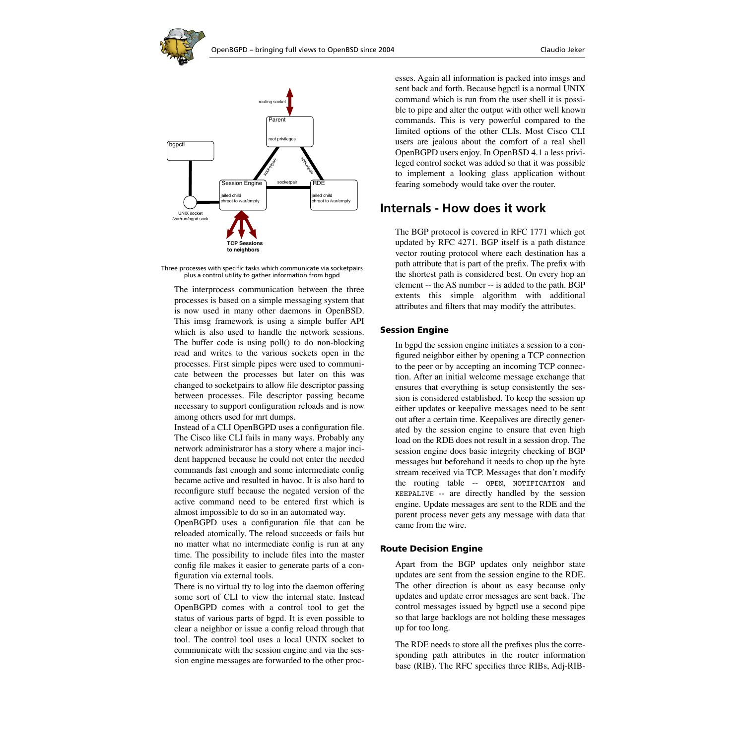

Three processes with specific tasks which communicate via socketpairs plus a control utility to gather information from bgpd

The interprocess communication between the three processes is based on a simple messaging system that is now used in many other daemons in OpenBSD. This imsg framework is using a simple buffer API which is also used to handle the network sessions. The buffer code is using poll() to do non-blocking read and writes to the various sockets open in the processes. First simple pipes were used to communicate between the processes but later on this was changed to socketpairs to allow file descriptor passing between processes. File descriptor passing became necessary to support configuration reloads and is now among others used for mrt dumps.

Instead of a CLI OpenBGPD uses a configuration file. The Cisco like CLI fails in many ways. Probably any network administrator has a story where a major incident happened because he could not enter the needed commands fast enough and some intermediate config became active and resulted in havoc. It is also hard to reconfigure stuff because the negated version of the active command need to be entered first which is almost impossible to do so in an automated way.

OpenBGPD uses a configuration file that can be reloaded atomically. The reload succeeds or fails but no matter what no intermediate config is run at any time. The possibility to include files into the master config file makes it easier to generate parts of a configuration via external tools.

There is no virtual tty to log into the daemon offering some sort of CLI to view the internal state. Instead OpenBGPD comes with a control tool to get the status of various parts of bgpd. It is even possible to clear a neighbor or issue a config reload through that tool. The control tool uses a local UNIX socket to communicate with the session engine and via the session engine messages are forwarded to the other processes. Again all information is packed into imsgs and sent back and forth. Because bgpctl is a normal UNIX command which is run from the user shell it is possible to pipe and alter the output with other well known commands. This is very powerful compared to the limited options of the other CLIs. Most Cisco CLI users are jealous about the comfort of a real shell OpenBGPD users enjoy. In OpenBSD 4.1 a less privileged control socket was added so that it was possible to implement a looking glass application without fearing somebody would take over the router.

### **Internals - How does it work**

The BGP protocol is covered in RFC 1771 which got updated by RFC 4271. BGP itself is a path distance vector routing protocol where each destination has a path attribute that is part of the prefix. The prefix with the shortest path is considered best. On every hop an element -- the AS number -- is added to the path. BGP extents this simple algorithm with additional attributes and filters that may modify the attributes.

#### **Session Engine**

In bgpd the session engine initiates a session to a configured neighbor either by opening a TCP connection to the peer or by accepting an incoming TCP connection. After an initial welcome message exchange that ensures that everything is setup consistently the session is considered established. To keep the session up either updates or keepalive messages need to be sent out after a certain time. Keepalives are directly generated by the session engine to ensure that even high load on the RDE does not result in a session drop. The session engine does basic integrity checking of BGP messages but beforehand it needs to chop up the byte stream received via TCP. Messages that don't modify the routing table -- OPEN, NOTIFICATION and KEEPALIVE -- are directly handled by the session engine. Update messages are sent to the RDE and the parent process never gets any message with data that came from the wire.

#### **Route Decision Engine**

Apart from the BGP updates only neighbor state updates are sent from the session engine to the RDE. The other direction is about as easy because only updates and update error messages are sent back. The control messages issued by bgpctl use a second pipe so that large backlogs are not holding these messages up for too long.

The RDE needs to store all the prefixes plus the corresponding path attributes in the router information base (RIB). The RFC specifies three RIBs, Adj-RIB-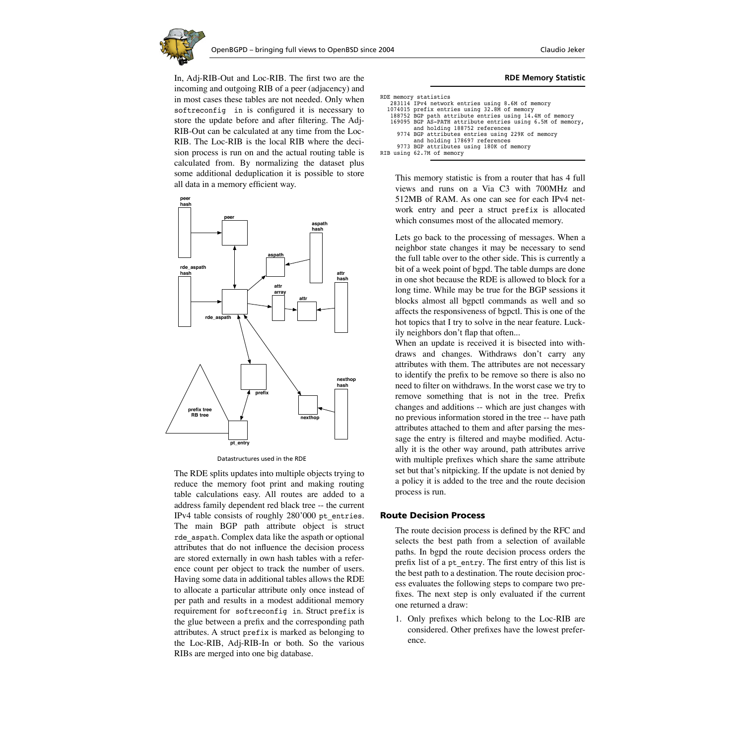

In, Adj-RIB-Out and Loc-RIB. The first two are the incoming and outgoing RIB of a peer (adjacency) and in most cases these tables are not needed. Only when softreconfig in is configured it is necessary to store the update before and after filtering. The Adj-RIB-Out can be calculated at any time from the Loc-RIB. The Loc-RIB is the local RIB where the decision process is run on and the actual routing table is calculated from. By normalizing the dataset plus some additional deduplication it is possible to store all data in a memory efficient way.



Datastructures used in the RDE

The RDE splits updates into multiple objects trying to reduce the memory foot print and making routing table calculations easy. All routes are added to a address family dependent red black tree -- the current IPv4 table consists of roughly 280'000 pt\_entries. The main BGP path attribute object is struct rde\_aspath. Complex data like the aspath or optional attributes that do not influence the decision process are stored externally in own hash tables with a reference count per object to track the number of users. Having some data in additional tables allows the RDE to allocate a particular attribute only once instead of per path and results in a modest additional memory requirement for softreconfig in. Struct prefix is the glue between a prefix and the corresponding path attributes. A struct prefix is marked as belonging to the Loc-RIB, Adj-RIB-In or both. So the various RIBs are merged into one big database.

#### **RDE Memory Statistic**

| RDE memory statistics |                                                            |
|-----------------------|------------------------------------------------------------|
|                       | 283114 IPv4 network entries using 8.6M of memory           |
|                       | 1074015 prefix entries using 32.8M of memory               |
|                       | 188752 BGP path attribute entries using 14.4M of memory    |
|                       | 169095 BGP AS-PATH attribute entries using 6.5M of memory, |
|                       | and holding 188752 references                              |
|                       | 9774 BGP attributes entries using 229K of memory           |
|                       | and holding 178697 references                              |
|                       | 9773 BGP attributes using 180K of memory                   |
|                       | RIB using 62.7M of memory                                  |
|                       |                                                            |

This memory statistic is from a router that has 4 full views and runs on a Via C3 with 700MHz and 512MB of RAM. As one can see for each IPv4 network entry and peer a struct prefix is allocated which consumes most of the allocated memory.

Lets go back to the processing of messages. When a neighbor state changes it may be necessary to send the full table over to the other side. This is currently a bit of a week point of bgpd. The table dumps are done in one shot because the RDE is allowed to block for a long time. While may be true for the BGP sessions it blocks almost all bgpctl commands as well and so affects the responsiveness of bgpctl. This is one of the hot topics that I try to solve in the near feature. Luckily neighbors don't flap that often...

When an update is received it is bisected into withdraws and changes. Withdraws don't carry any attributes with them. The attributes are not necessary to identify the prefix to be remove so there is also no need to filter on withdraws. In the worst case we try to remove something that is not in the tree. Prefix changes and additions -- which are just changes with no previous information stored in the tree -- have path attributes attached to them and after parsing the message the entry is filtered and maybe modified. Actually it is the other way around, path attributes arrive with multiple prefixes which share the same attribute set but that's nitpicking. If the update is not denied by a policy it is added to the tree and the route decision process is run.

#### **Route Decision Process**

The route decision process is defined by the RFC and selects the best path from a selection of available paths. In bgpd the route decision process orders the prefix list of a pt\_entry. The first entry of this list is the best path to a destination. The route decision process evaluates the following steps to compare two prefixes. The next step is only evaluated if the current one returned a draw:

1. Only prefixes which belong to the Loc-RIB are considered. Other prefixes have the lowest preference.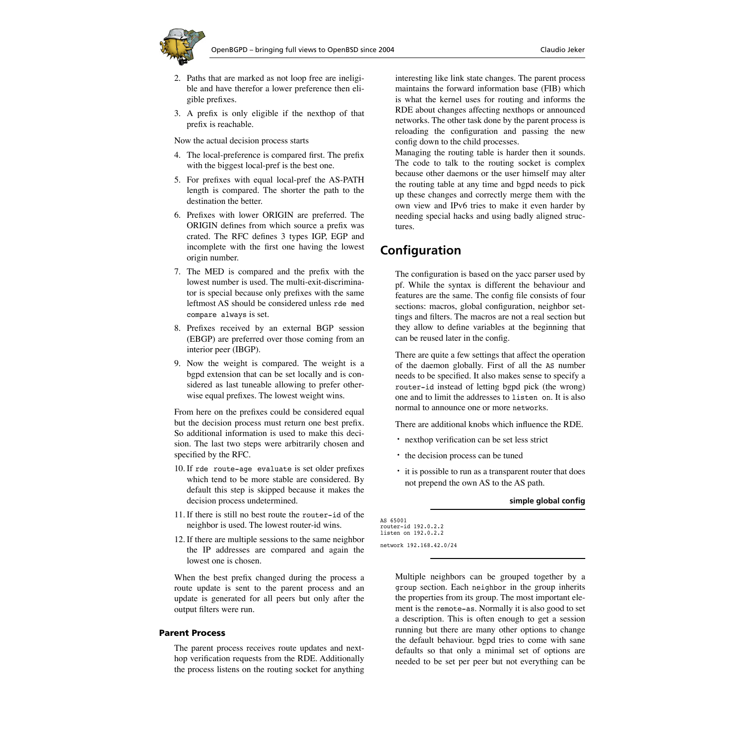

- 2. Paths that are marked as not loop free are ineligible and have therefor a lower preference then eligible prefixes.
- 3. A prefix is only eligible if the nexthop of that prefix is reachable.

Now the actual decision process starts

- 4. The local-preference is compared first. The prefix with the biggest local-pref is the best one.
- 5. For prefixes with equal local-pref the AS-PATH length is compared. The shorter the path to the destination the better.
- 6. Prefixes with lower ORIGIN are preferred. The ORIGIN defines from which source a prefix was crated. The RFC defines 3 types IGP, EGP and incomplete with the first one having the lowest origin number.
- 7. The MED is compared and the prefix with the lowest number is used. The multi-exit-discriminator is special because only prefixes with the same leftmost AS should be considered unless rde med compare always is set.
- 8. Prefixes received by an external BGP session (EBGP) are preferred over those coming from an interior peer (IBGP).
- 9. Now the weight is compared. The weight is a bgpd extension that can be set locally and is considered as last tuneable allowing to prefer otherwise equal prefixes. The lowest weight wins.

From here on the prefixes could be considered equal but the decision process must return one best prefix. So additional information is used to make this decision. The last two steps were arbitrarily chosen and specified by the RFC.

- 10. If rde route-age evaluate is set older prefixes which tend to be more stable are considered. By default this step is skipped because it makes the decision process undetermined.
- 11. If there is still no best route the router-id of the neighbor is used. The lowest router-id wins.
- 12. If there are multiple sessions to the same neighbor the IP addresses are compared and again the lowest one is chosen.

When the best prefix changed during the process a route update is sent to the parent process and an update is generated for all peers but only after the output filters were run.

#### **Parent Process**

The parent process receives route updates and nexthop verification requests from the RDE. Additionally the process listens on the routing socket for anything interesting like link state changes. The parent process maintains the forward information base (FIB) which is what the kernel uses for routing and informs the RDE about changes affecting nexthops or announced networks. The other task done by the parent process is reloading the configuration and passing the new config down to the child processes.

Managing the routing table is harder then it sounds. The code to talk to the routing socket is complex because other daemons or the user himself may alter the routing table at any time and bgpd needs to pick up these changes and correctly merge them with the own view and IPv6 tries to make it even harder by needing special hacks and using badly aligned structures.

## **Configuration**

The configuration is based on the yacc parser used by pf. While the syntax is different the behaviour and features are the same. The config file consists of four sections: macros, global configuration, neighbor settings and filters. The macros are not a real section but they allow to define variables at the beginning that can be reused later in the config.

There are quite a few settings that affect the operation of the daemon globally. First of all the AS number needs to be specified. It also makes sense to specify a router-id instead of letting bgpd pick (the wrong) one and to limit the addresses to listen on. It is also normal to announce one or more networks.

There are additional knobs which influence the RDE.

- **•** nexthop verification can be set less strict
- **•** the decision process can be tuned
- **•** it is possible to run as a transparent router that does not prepend the own AS to the AS path.

#### **simple global config**

AS 65001 router-id 192.0.2.2 listen on 192.0.2.2 network 192.168.42.0/24

> Multiple neighbors can be grouped together by a group section. Each neighbor in the group inherits the properties from its group. The most important element is the remote-as. Normally it is also good to set a description. This is often enough to get a session running but there are many other options to change the default behaviour. bgpd tries to come with sane defaults so that only a minimal set of options are needed to be set per peer but not everything can be